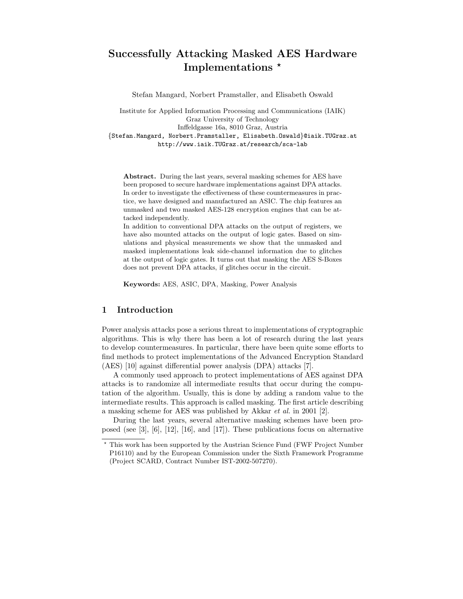# Successfully Attacking Masked AES Hardware Implementations  $\star$

Stefan Mangard, Norbert Pramstaller, and Elisabeth Oswald

Institute for Applied Information Processing and Communications (IAIK) Graz University of Technology Inffeldgasse 16a, 8010 Graz, Austria {Stefan.Mangard, Norbert.Pramstaller, Elisabeth.Oswald}@iaik.TUGraz.at http://www.iaik.TUGraz.at/research/sca-lab

Abstract. During the last years, several masking schemes for AES have been proposed to secure hardware implementations against DPA attacks. In order to investigate the effectiveness of these countermeasures in practice, we have designed and manufactured an ASIC. The chip features an unmasked and two masked AES-128 encryption engines that can be attacked independently.

In addition to conventional DPA attacks on the output of registers, we have also mounted attacks on the output of logic gates. Based on simulations and physical measurements we show that the unmasked and masked implementations leak side-channel information due to glitches at the output of logic gates. It turns out that masking the AES S-Boxes does not prevent DPA attacks, if glitches occur in the circuit.

Keywords: AES, ASIC, DPA, Masking, Power Analysis

# 1 Introduction

Power analysis attacks pose a serious threat to implementations of cryptographic algorithms. This is why there has been a lot of research during the last years to develop countermeasures. In particular, there have been quite some efforts to find methods to protect implementations of the Advanced Encryption Standard (AES) [10] against differential power analysis (DPA) attacks [7].

A commonly used approach to protect implementations of AES against DPA attacks is to randomize all intermediate results that occur during the computation of the algorithm. Usually, this is done by adding a random value to the intermediate results. This approach is called masking. The first article describing a masking scheme for AES was published by Akkar et al. in 2001 [2].

During the last years, several alternative masking schemes have been proposed (see [3], [6], [12], [16], and [17]). These publications focus on alternative

<sup>⋆</sup> This work has been supported by the Austrian Science Fund (FWF Project Number P16110) and by the European Commission under the Sixth Framework Programme (Project SCARD, Contract Number IST-2002-507270).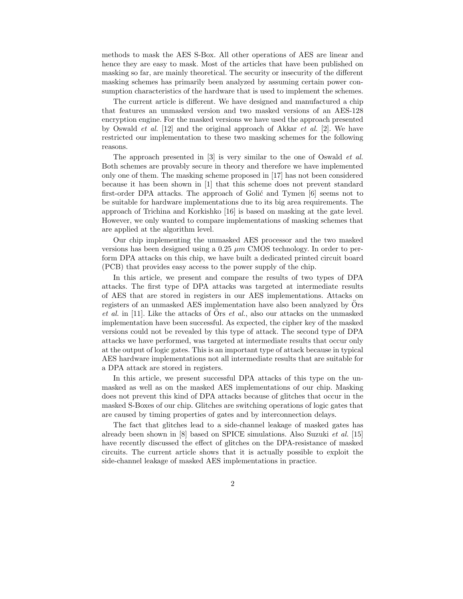methods to mask the AES S-Box. All other operations of AES are linear and hence they are easy to mask. Most of the articles that have been published on masking so far, are mainly theoretical. The security or insecurity of the different masking schemes has primarily been analyzed by assuming certain power consumption characteristics of the hardware that is used to implement the schemes.

The current article is different. We have designed and manufactured a chip that features an unmasked version and two masked versions of an AES-128 encryption engine. For the masked versions we have used the approach presented by Oswald et al. [12] and the original approach of Akkar et al. [2]. We have restricted our implementation to these two masking schemes for the following reasons.

The approach presented in [3] is very similar to the one of Oswald *et al.* Both schemes are provably secure in theory and therefore we have implemented only one of them. The masking scheme proposed in [17] has not been considered because it has been shown in [1] that this scheme does not prevent standard first-order DPA attacks. The approach of Golić and Tymen  $[6]$  seems not to be suitable for hardware implementations due to its big area requirements. The approach of Trichina and Korkishko [16] is based on masking at the gate level. However, we only wanted to compare implementations of masking schemes that are applied at the algorithm level.

Our chip implementing the unmasked AES processor and the two masked versions has been designed using a 0.25  $\mu$ m CMOS technology. In order to perform DPA attacks on this chip, we have built a dedicated printed circuit board (PCB) that provides easy access to the power supply of the chip.

In this article, we present and compare the results of two types of DPA attacks. The first type of DPA attacks was targeted at intermediate results of AES that are stored in registers in our AES implementations. Attacks on registers of an unmasked AES implementation have also been analyzed by Ors et al. in [11]. Like the attacks of  $\hat{O}$ rs *et al.*, also our attacks on the unmasked implementation have been successful. As expected, the cipher key of the masked versions could not be revealed by this type of attack. The second type of DPA attacks we have performed, was targeted at intermediate results that occur only at the output of logic gates. This is an important type of attack because in typical AES hardware implementations not all intermediate results that are suitable for a DPA attack are stored in registers.

In this article, we present successful DPA attacks of this type on the unmasked as well as on the masked AES implementations of our chip. Masking does not prevent this kind of DPA attacks because of glitches that occur in the masked S-Boxes of our chip. Glitches are switching operations of logic gates that are caused by timing properties of gates and by interconnection delays.

The fact that glitches lead to a side-channel leakage of masked gates has already been shown in [8] based on SPICE simulations. Also Suzuki et al. [15] have recently discussed the effect of glitches on the DPA-resistance of masked circuits. The current article shows that it is actually possible to exploit the side-channel leakage of masked AES implementations in practice.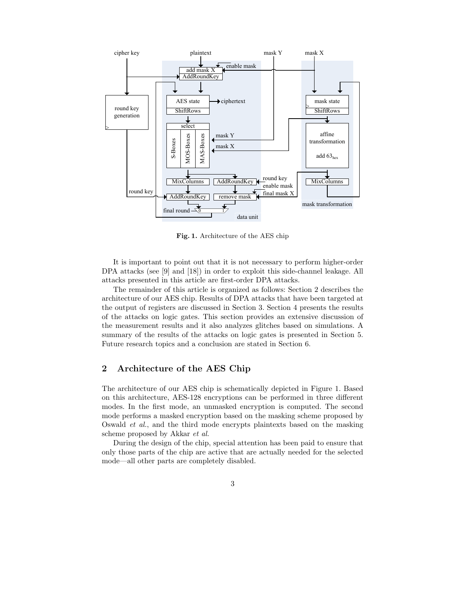

Fig. 1. Architecture of the AES chip

It is important to point out that it is not necessary to perform higher-order DPA attacks (see [9] and [18]) in order to exploit this side-channel leakage. All attacks presented in this article are first-order DPA attacks.

The remainder of this article is organized as follows: Section 2 describes the architecture of our AES chip. Results of DPA attacks that have been targeted at the output of registers are discussed in Section 3. Section 4 presents the results of the attacks on logic gates. This section provides an extensive discussion of the measurement results and it also analyzes glitches based on simulations. A summary of the results of the attacks on logic gates is presented in Section 5. Future research topics and a conclusion are stated in Section 6.

# 2 Architecture of the AES Chip

The architecture of our AES chip is schematically depicted in Figure 1. Based on this architecture, AES-128 encryptions can be performed in three different modes. In the first mode, an unmasked encryption is computed. The second mode performs a masked encryption based on the masking scheme proposed by Oswald et al., and the third mode encrypts plaintexts based on the masking scheme proposed by Akkar et al.

During the design of the chip, special attention has been paid to ensure that only those parts of the chip are active that are actually needed for the selected mode—all other parts are completely disabled.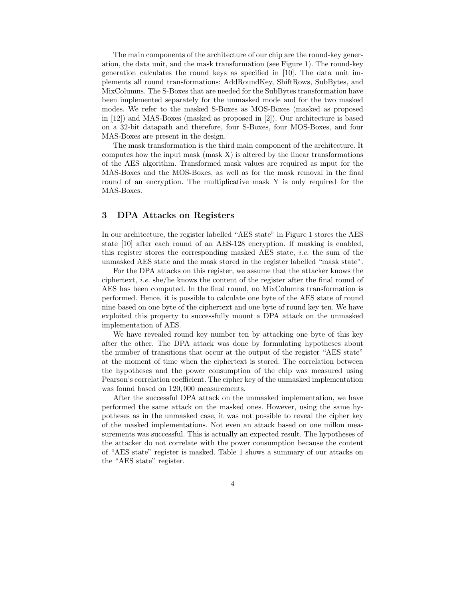The main components of the architecture of our chip are the round-key generation, the data unit, and the mask transformation (see Figure 1). The round-key generation calculates the round keys as specified in [10]. The data unit implements all round transformations: AddRoundKey, ShiftRows, SubBytes, and MixColumns. The S-Boxes that are needed for the SubBytes transformation have been implemented separately for the unmasked mode and for the two masked modes. We refer to the masked S-Boxes as MOS-Boxes (masked as proposed in [12]) and MAS-Boxes (masked as proposed in [2]). Our architecture is based on a 32-bit datapath and therefore, four S-Boxes, four MOS-Boxes, and four MAS-Boxes are present in the design.

The mask transformation is the third main component of the architecture. It computes how the input mask  $(mask X)$  is altered by the linear transformations of the AES algorithm. Transformed mask values are required as input for the MAS-Boxes and the MOS-Boxes, as well as for the mask removal in the final round of an encryption. The multiplicative mask Y is only required for the MAS-Boxes.

### 3 DPA Attacks on Registers

In our architecture, the register labelled "AES state" in Figure 1 stores the AES state [10] after each round of an AES-128 encryption. If masking is enabled, this register stores the corresponding masked AES state, i.e. the sum of the unmasked AES state and the mask stored in the register labelled "mask state".

For the DPA attacks on this register, we assume that the attacker knows the ciphertext, i.e. she/he knows the content of the register after the final round of AES has been computed. In the final round, no MixColumns transformation is performed. Hence, it is possible to calculate one byte of the AES state of round nine based on one byte of the ciphertext and one byte of round key ten. We have exploited this property to successfully mount a DPA attack on the unmasked implementation of AES.

We have revealed round key number ten by attacking one byte of this key after the other. The DPA attack was done by formulating hypotheses about the number of transitions that occur at the output of the register "AES state" at the moment of time when the ciphertext is stored. The correlation between the hypotheses and the power consumption of the chip was measured using Pearson's correlation coefficient. The cipher key of the unmasked implementation was found based on 120, 000 measurements.

After the successful DPA attack on the unmasked implementation, we have performed the same attack on the masked ones. However, using the same hypotheses as in the unmasked case, it was not possible to reveal the cipher key of the masked implementations. Not even an attack based on one millon measurements was successful. This is actually an expected result. The hypotheses of the attacker do not correlate with the power consumption because the content of "AES state" register is masked. Table 1 shows a summary of our attacks on the "AES state" register.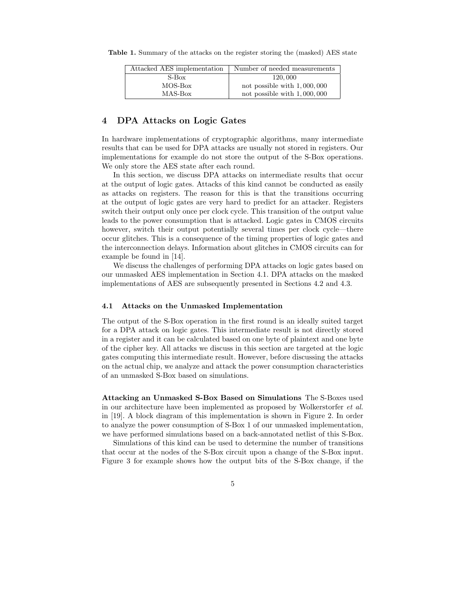| Attacked AES implementation | Number of needed measurements |  |
|-----------------------------|-------------------------------|--|
| $S-Box$                     | 120,000                       |  |
| MOS-Box                     | not possible with $1,000,000$ |  |
| MAS-Box                     | not possible with $1,000,000$ |  |

Table 1. Summary of the attacks on the register storing the (masked) AES state

### 4 DPA Attacks on Logic Gates

In hardware implementations of cryptographic algorithms, many intermediate results that can be used for DPA attacks are usually not stored in registers. Our implementations for example do not store the output of the S-Box operations. We only store the AES state after each round.

In this section, we discuss DPA attacks on intermediate results that occur at the output of logic gates. Attacks of this kind cannot be conducted as easily as attacks on registers. The reason for this is that the transitions occurring at the output of logic gates are very hard to predict for an attacker. Registers switch their output only once per clock cycle. This transition of the output value leads to the power consumption that is attacked. Logic gates in CMOS circuits however, switch their output potentially several times per clock cycle—there occur glitches. This is a consequence of the timing properties of logic gates and the interconnection delays. Information about glitches in CMOS circuits can for example be found in [14].

We discuss the challenges of performing DPA attacks on logic gates based on our unmasked AES implementation in Section 4.1. DPA attacks on the masked implementations of AES are subsequently presented in Sections 4.2 and 4.3.

#### 4.1 Attacks on the Unmasked Implementation

The output of the S-Box operation in the first round is an ideally suited target for a DPA attack on logic gates. This intermediate result is not directly stored in a register and it can be calculated based on one byte of plaintext and one byte of the cipher key. All attacks we discuss in this section are targeted at the logic gates computing this intermediate result. However, before discussing the attacks on the actual chip, we analyze and attack the power consumption characteristics of an unmasked S-Box based on simulations.

Attacking an Unmasked S-Box Based on Simulations The S-Boxes used in our architecture have been implemented as proposed by Wolkerstorfer et al. in [19]. A block diagram of this implementation is shown in Figure 2. In order to analyze the power consumption of S-Box 1 of our unmasked implementation, we have performed simulations based on a back-annotated netlist of this S-Box.

Simulations of this kind can be used to determine the number of transitions that occur at the nodes of the S-Box circuit upon a change of the S-Box input. Figure 3 for example shows how the output bits of the S-Box change, if the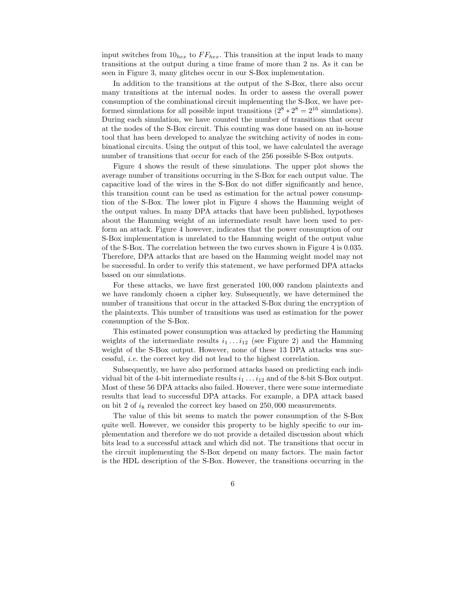input switches from  $10_{hex}$  to  $FF_{hex}$ . This transition at the input leads to many transitions at the output during a time frame of more than 2 ns. As it can be seen in Figure 3, many glitches occur in our S-Box implementation.

In addition to the transitions at the output of the S-Box, there also occur many transitions at the internal nodes. In order to assess the overall power consumption of the combinational circuit implementing the S-Box, we have performed simulations for all possible input transitions  $(2^8 * 2^8 = 2^{16}$  simulations). During each simulation, we have counted the number of transitions that occur at the nodes of the S-Box circuit. This counting was done based on an in-house tool that has been developed to analyze the switching activity of nodes in combinational circuits. Using the output of this tool, we have calculated the average number of transitions that occur for each of the 256 possible S-Box outputs.

Figure 4 shows the result of these simulations. The upper plot shows the average number of transitions occurring in the S-Box for each output value. The capacitive load of the wires in the S-Box do not differ significantly and hence, this transition count can be used as estimation for the actual power consumption of the S-Box. The lower plot in Figure 4 shows the Hamming weight of the output values. In many DPA attacks that have been published, hypotheses about the Hamming weight of an intermediate result have been used to perform an attack. Figure 4 however, indicates that the power consumption of our S-Box implementation is unrelated to the Hamming weight of the output value of the S-Box. The correlation between the two curves shown in Figure 4 is 0.035. Therefore, DPA attacks that are based on the Hamming weight model may not be successful. In order to verify this statement, we have performed DPA attacks based on our simulations.

For these attacks, we have first generated 100, 000 random plaintexts and we have randomly chosen a cipher key. Subsequently, we have determined the number of transitions that occur in the attacked S-Box during the encryption of the plaintexts. This number of transitions was used as estimation for the power consumption of the S-Box.

This estimated power consumption was attacked by predicting the Hamming weights of the intermediate results  $i_1 \ldots i_{12}$  (see Figure 2) and the Hamming weight of the S-Box output. However, none of these 13 DPA attacks was successful, i.e. the correct key did not lead to the highest correlation.

Subsequently, we have also performed attacks based on predicting each individual bit of the 4-bit intermediate results  $i_1 \ldots i_{12}$  and of the 8-bit S-Box output. Most of these 56 DPA attacks also failed. However, there were some intermediate results that lead to successful DPA attacks. For example, a DPA attack based on bit 2 of  $i_8$  revealed the correct key based on 250,000 measurements.

The value of this bit seems to match the power consumption of the S-Box quite well. However, we consider this property to be highly specific to our implementation and therefore we do not provide a detailed discussion about which bits lead to a successful attack and which did not. The transitions that occur in the circuit implementing the S-Box depend on many factors. The main factor is the HDL description of the S-Box. However, the transitions occurring in the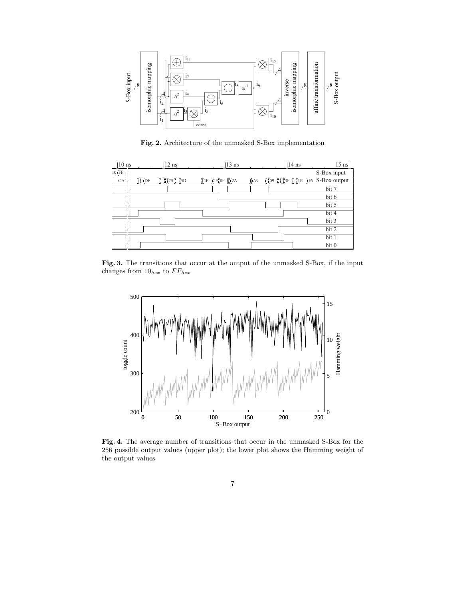

Fig. 2. Architecture of the unmasked S-Box implementation

| $10$ ns  | $12$ ns                 | $ 13 \text{ ns} $       | $ 14 \text{ ns} $                              | $15$ ns      |
|----------|-------------------------|-------------------------|------------------------------------------------|--------------|
| $10$ (FF |                         |                         |                                                | S-Box input  |
| CA       | IDF<br>Ж.<br>475<br>15D | CF 8F X2A<br>14F<br>#A9 | $V\Upsilon_{3F}$<br>$\sqrt[3]{1}E$<br>16<br>09 | S-Box output |
|          |                         |                         |                                                | bit 7        |
|          |                         |                         |                                                | bit 6        |
|          |                         |                         |                                                | bit 5        |
|          |                         |                         |                                                | bit 4        |
|          |                         |                         |                                                | bit 3        |
|          |                         |                         |                                                | bit 2        |
|          |                         |                         |                                                | bit 1        |
|          |                         |                         |                                                | bit 0        |

Fig. 3. The transitions that occur at the output of the unmasked S-Box, if the input changes from  $10_{hex}$  to  $FF_{hex}$ 



Fig. 4. The average number of transitions that occur in the unmasked S-Box for the 256 possible output values (upper plot); the lower plot shows the Hamming weight of the output values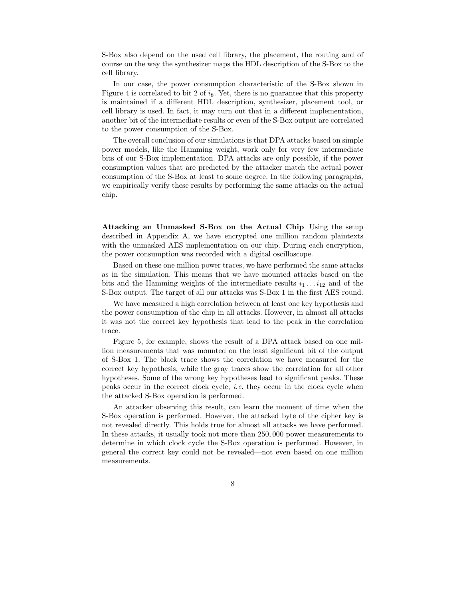S-Box also depend on the used cell library, the placement, the routing and of course on the way the synthesizer maps the HDL description of the S-Box to the cell library.

In our case, the power consumption characteristic of the S-Box shown in Figure 4 is correlated to bit 2 of  $i_8$ . Yet, there is no guarantee that this property is maintained if a different HDL description, synthesizer, placement tool, or cell library is used. In fact, it may turn out that in a different implementation, another bit of the intermediate results or even of the S-Box output are correlated to the power consumption of the S-Box.

The overall conclusion of our simulations is that DPA attacks based on simple power models, like the Hamming weight, work only for very few intermediate bits of our S-Box implementation. DPA attacks are only possible, if the power consumption values that are predicted by the attacker match the actual power consumption of the S-Box at least to some degree. In the following paragraphs, we empirically verify these results by performing the same attacks on the actual chip.

Attacking an Unmasked S-Box on the Actual Chip Using the setup described in Appendix A, we have encrypted one million random plaintexts with the unmasked AES implementation on our chip. During each encryption, the power consumption was recorded with a digital oscilloscope.

Based on these one million power traces, we have performed the same attacks as in the simulation. This means that we have mounted attacks based on the bits and the Hamming weights of the intermediate results  $i_1 \ldots i_{12}$  and of the S-Box output. The target of all our attacks was S-Box 1 in the first AES round.

We have measured a high correlation between at least one key hypothesis and the power consumption of the chip in all attacks. However, in almost all attacks it was not the correct key hypothesis that lead to the peak in the correlation trace.

Figure 5, for example, shows the result of a DPA attack based on one million measurements that was mounted on the least significant bit of the output of S-Box 1. The black trace shows the correlation we have measured for the correct key hypothesis, while the gray traces show the correlation for all other hypotheses. Some of the wrong key hypotheses lead to significant peaks. These peaks occur in the correct clock cycle, i.e. they occur in the clock cycle when the attacked S-Box operation is performed.

An attacker observing this result, can learn the moment of time when the S-Box operation is performed. However, the attacked byte of the cipher key is not revealed directly. This holds true for almost all attacks we have performed. In these attacks, it usually took not more than 250, 000 power measurements to determine in which clock cycle the S-Box operation is performed. However, in general the correct key could not be revealed—not even based on one million measurements.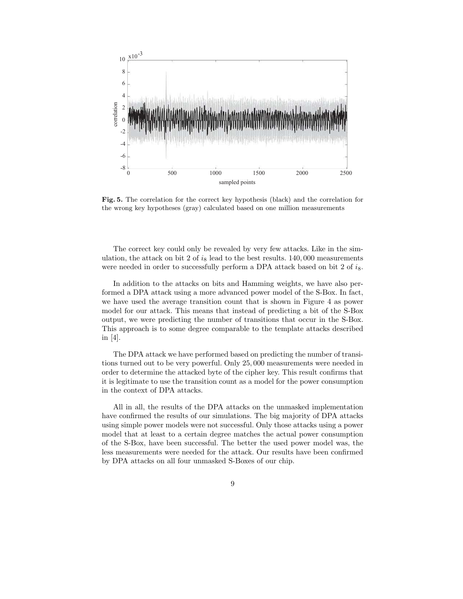

Fig. 5. The correlation for the correct key hypothesis (black) and the correlation for the wrong key hypotheses (gray) calculated based on one million measurements

The correct key could only be revealed by very few attacks. Like in the simulation, the attack on bit 2 of  $i_8$  lead to the best results. 140,000 measurements were needed in order to successfully perform a DPA attack based on bit 2 of  $i_8$ .

In addition to the attacks on bits and Hamming weights, we have also performed a DPA attack using a more advanced power model of the S-Box. In fact, we have used the average transition count that is shown in Figure 4 as power model for our attack. This means that instead of predicting a bit of the S-Box output, we were predicting the number of transitions that occur in the S-Box. This approach is to some degree comparable to the template attacks described in [4].

The DPA attack we have performed based on predicting the number of transitions turned out to be very powerful. Only 25, 000 measurements were needed in order to determine the attacked byte of the cipher key. This result confirms that it is legitimate to use the transition count as a model for the power consumption in the context of DPA attacks.

All in all, the results of the DPA attacks on the unmasked implementation have confirmed the results of our simulations. The big majority of DPA attacks using simple power models were not successful. Only those attacks using a power model that at least to a certain degree matches the actual power consumption of the S-Box, have been successful. The better the used power model was, the less measurements were needed for the attack. Our results have been confirmed by DPA attacks on all four unmasked S-Boxes of our chip.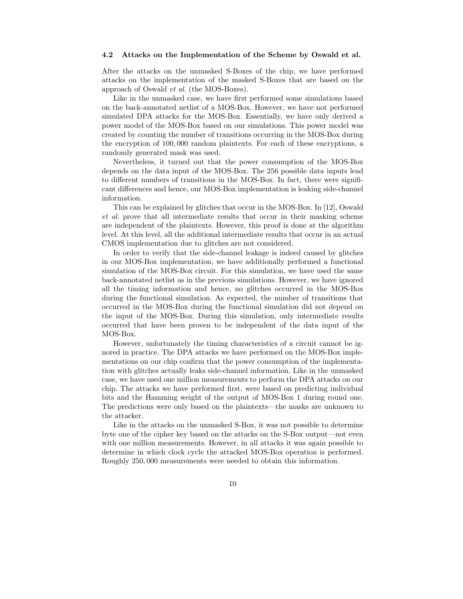#### 4.2 Attacks on the Implementation of the Scheme by Oswald et al.

After the attacks on the unmasked S-Boxes of the chip, we have performed attacks on the implementation of the masked S-Boxes that are based on the approach of Oswald et al. (the MOS-Boxes).

Like in the unmasked case, we have first performed some simulations based on the back-annotated netlist of a MOS-Box. However, we have not performed simulated DPA attacks for the MOS-Box. Essentially, we have only derived a power model of the MOS-Box based on our simulations. This power model was created by counting the number of transitions occurring in the MOS-Box during the encryption of 100, 000 random plaintexts. For each of these encryptions, a randomly generated mask was used.

Nevertheless, it turned out that the power consumption of the MOS-Box depends on the data input of the MOS-Box. The 256 possible data inputs lead to different numbers of transitions in the MOS-Box. In fact, there were significant differences and hence, our MOS-Box implementation is leaking side-channel information.

This can be explained by glitches that occur in the MOS-Box. In [12], Oswald et al. prove that all intermediate results that occur in their masking scheme are independent of the plaintexts. However, this proof is done at the algorithm level. At this level, all the additional intermediate results that occur in an actual CMOS implementation due to glitches are not considered.

In order to verify that the side-channel leakage is indeed caused by glitches in our MOS-Box implementation, we have additionally performed a functional simulation of the MOS-Box circuit. For this simulation, we have used the same back-annotated netlist as in the previous simulations. However, we have ignored all the timing information and hence, no glitches occurred in the MOS-Box during the functional simulation. As expected, the number of transitions that occurred in the MOS-Box during the functional simulation did not depend on the input of the MOS-Box. During this simulation, only intermediate results occurred that have been proven to be independent of the data input of the MOS-Box.

However, unfortunately the timing characteristics of a circuit cannot be ignored in practice. The DPA attacks we have performed on the MOS-Box implementations on our chip confirm that the power consumption of the implementation with glitches actually leaks side-channel information. Like in the unmasked case, we have used one million measurements to perform the DPA attacks on our chip. The attacks we have performed first, were based on predicting individual bits and the Hamming weight of the output of MOS-Box 1 during round one. The predictions were only based on the plaintexts—the masks are unknown to the attacker.

Like in the attacks on the unmasked S-Box, it was not possible to determine byte one of the cipher key based on the attacks on the S-Box output—not even with one million measurements. However, in all attacks it was again possible to determine in which clock cycle the attacked MOS-Box operation is performed. Roughly 250, 000 measurements were needed to obtain this information.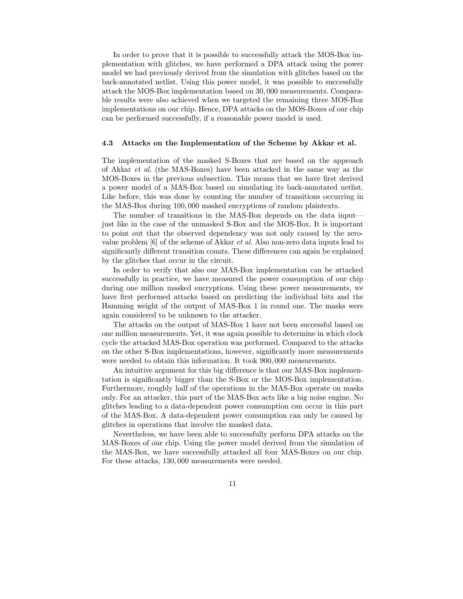In order to prove that it is possible to successfully attack the MOS-Box implementation with glitches, we have performed a DPA attack using the power model we had previously derived from the simulation with glitches based on the back-annotated netlist. Using this power model, it was possible to successfully attack the MOS-Box implementation based on 30, 000 measurements. Comparable results were also achieved when we targeted the remaining three MOS-Box implementations on our chip. Hence, DPA attacks on the MOS-Boxes of our chip can be performed successfully, if a reasonable power model is used.

#### 4.3 Attacks on the Implementation of the Scheme by Akkar et al.

The implementation of the masked S-Boxes that are based on the approach of Akkar et al. (the MAS-Boxes) have been attacked in the same way as the MOS-Boxes in the previous subsection. This means that we have first derived a power model of a MAS-Box based on simulating its back-annotated netlist. Like before, this was done by counting the number of transitions occurring in the MAS-Box during 100, 000 masked encryptions of random plaintexts.

The number of transitions in the MAS-Box depends on the data input just like in the case of the unmasked S-Box and the MOS-Box. It is important to point out that the observed dependency was not only caused by the zerovalue problem [6] of the scheme of Akkar et al. Also non-zero data inputs lead to significantly different transition counts. These differences can again be explained by the glitches that occur in the circuit.

In order to verify that also our MAS-Box implementation can be attacked successfully in practice, we have measured the power consumption of our chip during one million masked encryptions. Using these power measurements, we have first performed attacks based on predicting the individual bits and the Hamming weight of the output of MAS-Box 1 in round one. The masks were again considered to be unknown to the attacker.

The attacks on the output of MAS-Box 1 have not been successful based on one million measurements. Yet, it was again possible to determine in which clock cycle the attacked MAS-Box operation was performed. Compared to the attacks on the other S-Box implementations, however, significantly more measurements were needed to obtain this information. It took 900, 000 measurements.

An intuitive argument for this big difference is that our MAS-Box implementation is significantly bigger than the S-Box or the MOS-Box implementation. Furthermore, roughly half of the operations in the MAS-Box operate on masks only. For an attacker, this part of the MAS-Box acts like a big noise engine. No glitches leading to a data-dependent power consumption can occur in this part of the MAS-Box. A data-dependent power consumption can only be caused by glitches in operations that involve the masked data.

Nevertheless, we have been able to successfully perform DPA attacks on the MAS-Boxes of our chip. Using the power model derived from the simulation of the MAS-Box, we have successfully attacked all four MAS-Boxes on our chip. For these attacks, 130, 000 measurements were needed.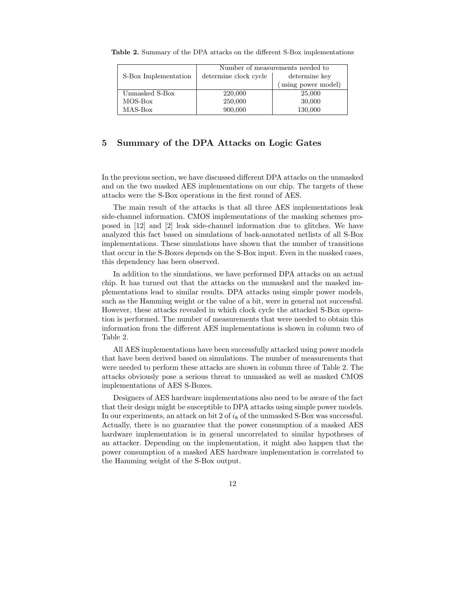|                      | Number of measurements needed to |                    |  |
|----------------------|----------------------------------|--------------------|--|
| S-Box Implementation | determine clock cycle            | determine key      |  |
|                      |                                  | using power model) |  |
| Unmasked S-Box       | 220,000                          | 25,000             |  |
| MOS-Box              | 250,000                          | 30,000             |  |
| MAS-Box              | 900,000                          | 130,000            |  |

Table 2. Summary of the DPA attacks on the different S-Box implementations

### 5 Summary of the DPA Attacks on Logic Gates

In the previous section, we have discussed different DPA attacks on the unmasked and on the two masked AES implementations on our chip. The targets of these attacks were the S-Box operations in the first round of AES.

The main result of the attacks is that all three AES implementations leak side-channel information. CMOS implementations of the masking schemes proposed in [12] and [2] leak side-channel information due to glitches. We have analyzed this fact based on simulations of back-annotated netlists of all S-Box implementations. These simulations have shown that the number of transitions that occur in the S-Boxes depends on the S-Box input. Even in the masked cases, this dependency has been observed.

In addition to the simulations, we have performed DPA attacks on an actual chip. It has turned out that the attacks on the unmasked and the masked implementations lead to similar results. DPA attacks using simple power models, such as the Hamming weight or the value of a bit, were in general not successful. However, these attacks revealed in which clock cycle the attacked S-Box operation is performed. The number of measurements that were needed to obtain this information from the different AES implementations is shown in column two of Table 2.

All AES implementations have been successfully attacked using power models that have been derived based on simulations. The number of measurements that were needed to perform these attacks are shown in column three of Table 2. The attacks obviously pose a serious threat to unmasked as well as masked CMOS implementations of AES S-Boxes.

Designers of AES hardware implementations also need to be aware of the fact that their design might be susceptible to DPA attacks using simple power models. In our experiments, an attack on bit 2 of  $i_8$  of the unmasked S-Box was successful. Actually, there is no guarantee that the power consumption of a masked AES hardware implementation is in general uncorrelated to similar hypotheses of an attacker. Depending on the implementation, it might also happen that the power consumption of a masked AES hardware implementation is correlated to the Hamming weight of the S-Box output.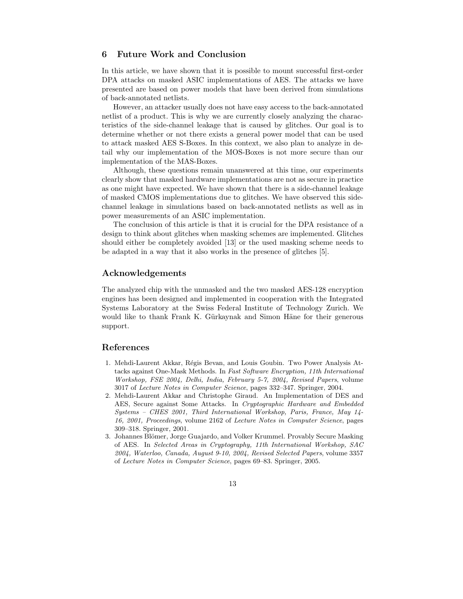# 6 Future Work and Conclusion

In this article, we have shown that it is possible to mount successful first-order DPA attacks on masked ASIC implementations of AES. The attacks we have presented are based on power models that have been derived from simulations of back-annotated netlists.

However, an attacker usually does not have easy access to the back-annotated netlist of a product. This is why we are currently closely analyzing the characteristics of the side-channel leakage that is caused by glitches. Our goal is to determine whether or not there exists a general power model that can be used to attack masked AES S-Boxes. In this context, we also plan to analyze in detail why our implementation of the MOS-Boxes is not more secure than our implementation of the MAS-Boxes.

Although, these questions remain unanswered at this time, our experiments clearly show that masked hardware implementations are not as secure in practice as one might have expected. We have shown that there is a side-channel leakage of masked CMOS implementations due to glitches. We have observed this sidechannel leakage in simulations based on back-annotated netlists as well as in power measurements of an ASIC implementation.

The conclusion of this article is that it is crucial for the DPA resistance of a design to think about glitches when masking schemes are implemented. Glitches should either be completely avoided [13] or the used masking scheme needs to be adapted in a way that it also works in the presence of glitches [5].

### Acknowledgements

The analyzed chip with the unmasked and the two masked AES-128 encryption engines has been designed and implemented in cooperation with the Integrated Systems Laboratory at the Swiss Federal Institute of Technology Zurich. We would like to thank Frank K. Gürkaynak and Simon Häne for their generous support.

### References

- 1. Mehdi-Laurent Akkar, Régis Bevan, and Louis Goubin. Two Power Analysis Attacks against One-Mask Methods. In Fast Software Encryption, 11th International Workshop, FSE 2004, Delhi, India, February 5-7, 2004, Revised Papers, volume 3017 of Lecture Notes in Computer Science, pages 332–347. Springer, 2004.
- 2. Mehdi-Laurent Akkar and Christophe Giraud. An Implementation of DES and AES, Secure against Some Attacks. In Cryptographic Hardware and Embedded Systems – CHES 2001, Third International Workshop, Paris, France, May 14- 16, 2001, Proceedings, volume 2162 of Lecture Notes in Computer Science, pages 309–318. Springer, 2001.
- 3. Johannes Blömer, Jorge Guajardo, and Volker Krummel. Provably Secure Masking of AES. In Selected Areas in Cryptography, 11th International Workshop, SAC 2004, Waterloo, Canada, August 9-10, 2004, Revised Selected Papers, volume 3357 of Lecture Notes in Computer Science, pages 69–83. Springer, 2005.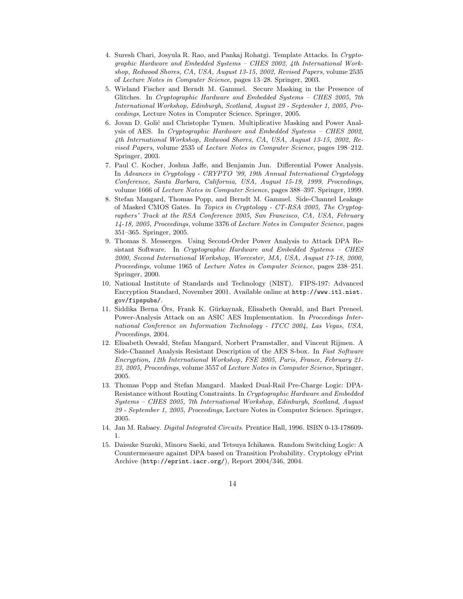- 4. Suresh Chari, Josyula R. Rao, and Pankaj Rohatgi. Template Attacks. In Cryptographic Hardware and Embedded Systems – CHES 2002, 4th International Workshop, Redwood Shores, CA, USA, August 13-15, 2002, Revised Papers, volume 2535 of Lecture Notes in Computer Science, pages 13–28. Springer, 2003.
- 5. Wieland Fischer and Berndt M. Gammel. Secure Masking in the Presence of Glitches. In Cryptographic Hardware and Embedded Systems – CHES 2005, 7th International Workshop, Edinburgh, Scotland, August 29 - September 1, 2005, Proceedings, Lecture Notes in Computer Science. Springer, 2005.
- 6. Jovan D. Goli´c and Christophe Tymen. Multiplicative Masking and Power Analysis of AES. In Cryptographic Hardware and Embedded Systems – CHES 2002, 4th International Workshop, Redwood Shores, CA, USA, August 13-15, 2002, Revised Papers, volume 2535 of Lecture Notes in Computer Science, pages 198–212. Springer, 2003.
- 7. Paul C. Kocher, Joshua Jaffe, and Benjamin Jun. Differential Power Analysis. In Advances in Cryptology - CRYPTO '99, 19th Annual International Cryptology Conference, Santa Barbara, California, USA, August 15-19, 1999, Proceedings, volume 1666 of Lecture Notes in Computer Science, pages 388–397. Springer, 1999.
- 8. Stefan Mangard, Thomas Popp, and Berndt M. Gammel. Side-Channel Leakage of Masked CMOS Gates. In Topics in Cryptology - CT-RSA 2005, The Cryptographers' Track at the RSA Conference 2005, San Francisco, CA, USA, February 14-18, 2005, Proceedings, volume 3376 of Lecture Notes in Computer Science, pages 351–365. Springer, 2005.
- 9. Thomas S. Messerges. Using Second-Order Power Analysis to Attack DPA Resistant Software. In Cryptographic Hardware and Embedded Systems – CHES 2000, Second International Workshop, Worcester, MA, USA, August 17-18, 2000, Proceedings, volume 1965 of Lecture Notes in Computer Science, pages 238–251. Springer, 2000.
- 10. National Institute of Standards and Technology (NIST). FIPS-197: Advanced Encryption Standard, November 2001. Available online at http://www.itl.nist. gov/fipspubs/.
- 11. Siddika Berna Örs, Frank K. Gürkaynak, Elisabeth Oswald, and Bart Preneel. Power-Analysis Attack on an ASIC AES Implementation. In Proccedings International Conference on Information Technology - ITCC 2004, Las Vegas, USA, Proceedings, 2004.
- 12. Elisabeth Oswald, Stefan Mangard, Norbert Pramstaller, and Vincent Rijmen. A Side-Channel Analysis Resistant Description of the AES S-box. In Fast Software Encryption, 12th International Workshop, FSE 2005, Paris, France, February 21- 23, 2005, Proceedings, volume 3557 of Lecture Notes in Computer Science, Springer, 2005.
- 13. Thomas Popp and Stefan Mangard. Masked Dual-Rail Pre-Charge Logic: DPA-Resistance without Routing Constraints. In Cryptographic Hardware and Embedded Systems – CHES 2005, 7th International Workshop, Edinburgh, Scotland, August 29 - September 1, 2005, Proceedings, Lecture Notes in Computer Science. Springer, 2005.
- 14. Jan M. Rabaey. Digital Integrated Circuits. Prentice Hall, 1996. ISBN 0-13-178609- 1.
- 15. Daisuke Suzuki, Minoru Saeki, and Tetsuya Ichikawa. Random Switching Logic: A Countermeasure against DPA based on Transition Probability. Cryptology ePrint Archive (http://eprint.iacr.org/), Report 2004/346, 2004.